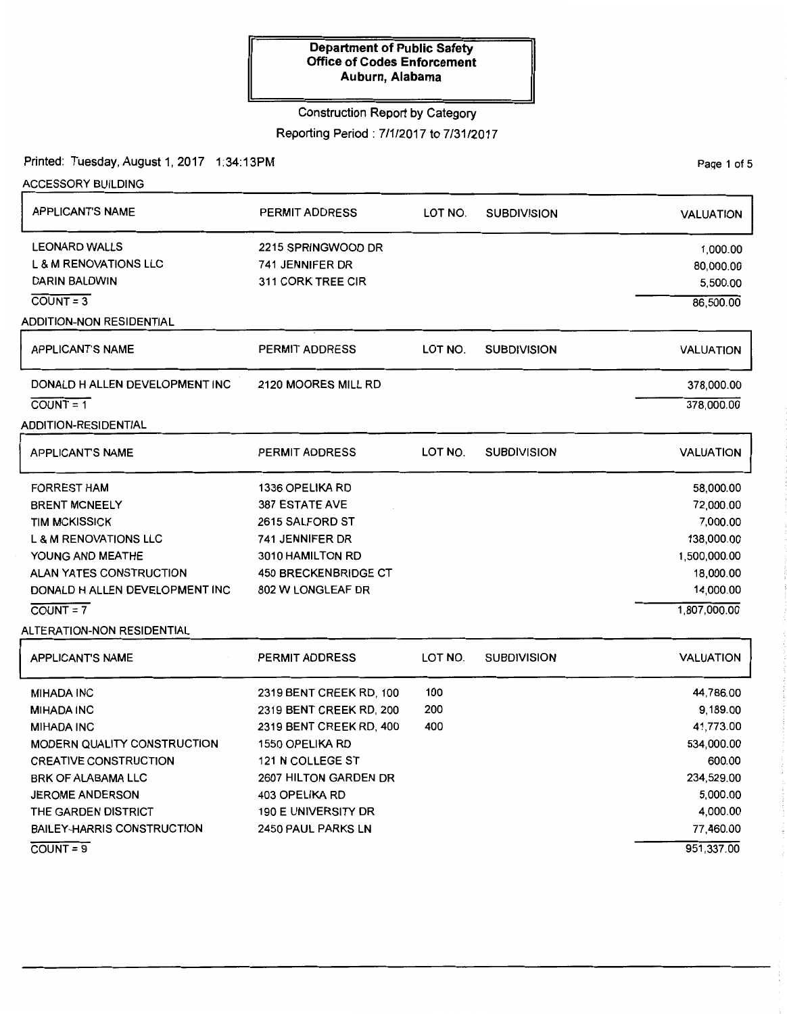Construction Report by Category

Reporting Period: 7/1/2017 to 7/31/2017

Printed: Tuesday, August 1, 2017 1:34:13PM

ACCESSORY BUILDING APPLICANT'S NAME LEONARD WALLS L & M RENOVATIONS LLC DARIN BALDWIN COUNT= 3 ADDITION-NON RESIDENTIAL APPLICANT'S NAME DONALD H ALLEN DEVELOPMENT INC  $COUNT = 1$ ADDITION-RESIDENTIAL APPLICANT'S NAME FORREST HAM BRENT MCNEELY TIM MCKISSICK L & M RENOVATIONS LLC YOUNG AND MEATHE ALAN YATES CONSTRUCTION DONALD H ALLEN DEVELOPMENT INC  $COUNT = 7$ ALTERATION-NON RESIDENTIAL APPLICANT'S NAME MIHADA INC MIHADA INC MIHADA INC MODERN QUALITY CONSTRUCTION CREATIVE CONSTRUCTION BRK OF ALABAMA LLC JEROME ANDERSON THE GARDEN DISTRICT BAILEY-HARRIS CONSTRUCTION PERMIT ADDRESS 2215 SPRINGWOOD DR 741 JENNIFER DR 311 CORK TREE CIR PERMIT ADDRESS 2120 MOORES MILL RD PERMIT ADDRESS 1336 OPELIKA RD 387 ESTATE AVE 2615 SALFORD ST 741 JENNIFER DR 3010 HAMILTON RD 450 BRECKENBRIDGE CT 802 W LONGLEAF DR PERMIT ADDRESS 2319 BENT CREEK RD, 100 2319 BENT CREEK RD, 200 2319 BENT CREEK RD, 400 1550 OPELIKA RD 121 N COLLEGE ST 2607 HILTON GARDEN DR 403 OPELIKA RD 190 E UNIVERSITY DR 2450 PAUL PARKS LN LOT NO. SUBDIVISION LOT NO. SUBDIVISION LOT NO. SUBDIVISION LOT NO. SUBDIVISION 100 200 400 VALUATION 1,000.00 80,000.00 5,500.00 86,500.00 VALUATION 378,000.00 378,000.00 VALUATION 58,000.00 72,000.00 7,000.00 138,000.00 1,500,000.00 18,000.00 14,000.00 1,807,000.00 VALUATION 44,786.00 9, 189.00 41,773.00 534,000.00 600.00 234,529.00 5,000.00 4,000.00 77,460.00

COUNT= 9

Page 1 of 5

951,337.00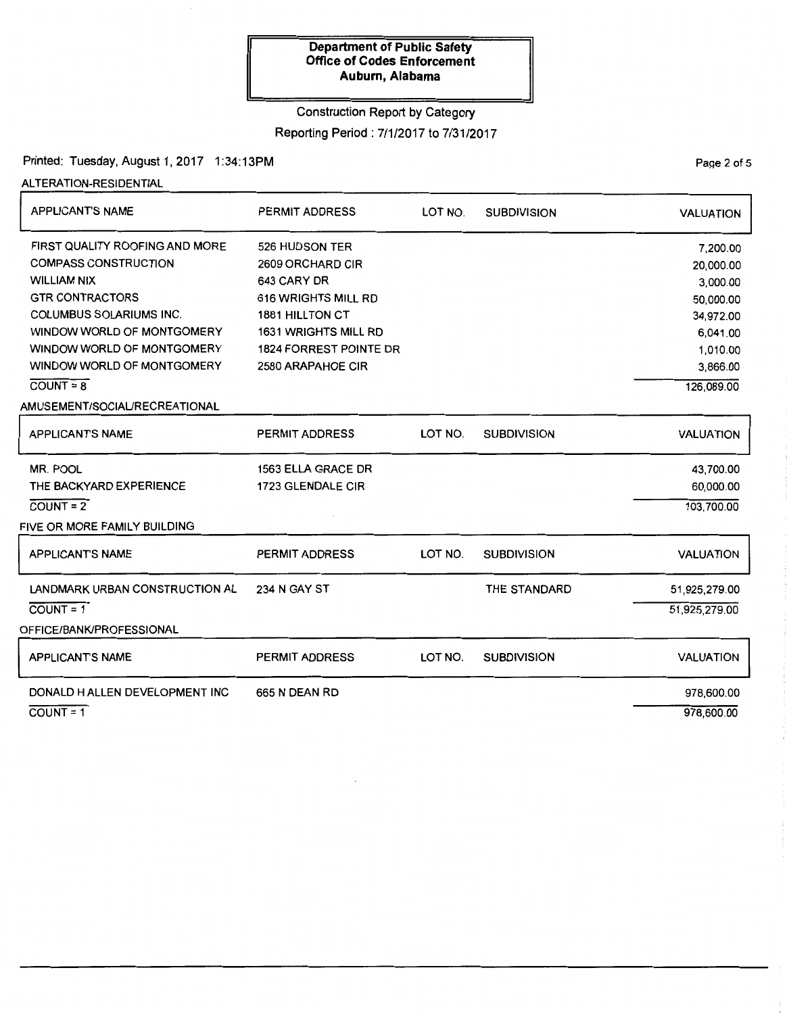## Construction Report by Category

Reporting Period: 7/1/2017 to 7/31/2017

Printed: Tuesday, August 1, 2017 1:34:13PM

ALTERATION-RESIDENTIAL

| <b>PERMIT ADDRESS</b> | LOT NO.                                                                                                                                                               | <b>SUBDIVISION</b> | <b>VALUATION</b>   |
|-----------------------|-----------------------------------------------------------------------------------------------------------------------------------------------------------------------|--------------------|--------------------|
| 526 HUDSON TER        |                                                                                                                                                                       |                    | 7,200.00           |
|                       |                                                                                                                                                                       |                    | 20,000.00          |
|                       |                                                                                                                                                                       |                    | 3,000.00           |
|                       |                                                                                                                                                                       |                    | 50,000.00          |
|                       |                                                                                                                                                                       |                    | 34,972.00          |
|                       |                                                                                                                                                                       |                    | 6,041.00           |
|                       |                                                                                                                                                                       |                    | 1,010.00           |
|                       |                                                                                                                                                                       |                    | 3,866.00           |
|                       |                                                                                                                                                                       |                    | 126,089.00         |
|                       |                                                                                                                                                                       |                    |                    |
| <b>PERMIT ADDRESS</b> | LOT NO.                                                                                                                                                               | <b>SUBDIVISION</b> | <b>VALUATION</b>   |
| 1563 ELLA GRACE DR    |                                                                                                                                                                       |                    | 43,700.00          |
| 1723 GLENDALE CIR     |                                                                                                                                                                       |                    | 60,000.00          |
|                       |                                                                                                                                                                       |                    | 103,700.00         |
|                       |                                                                                                                                                                       |                    |                    |
|                       |                                                                                                                                                                       |                    |                    |
| <b>PERMIT ADDRESS</b> | LOT NO.                                                                                                                                                               |                    | <b>VALUATION</b>   |
| 234 N GAY ST          |                                                                                                                                                                       | THE STANDARD       | 51,925,279.00      |
|                       |                                                                                                                                                                       |                    | 51,925,279.00      |
|                       |                                                                                                                                                                       |                    |                    |
|                       |                                                                                                                                                                       |                    |                    |
| <b>PERMIT ADDRESS</b> | LOT NO.                                                                                                                                                               | <b>SUBDIVISION</b> | <b>VALUATION</b>   |
| 665 N DEAN RD         |                                                                                                                                                                       |                    | 978,600.00         |
|                       |                                                                                                                                                                       |                    | 978,600.00         |
|                       | 2609 ORCHARD CIR<br>643 CARY DR<br>616 WRIGHTS MILL RD<br><b>1881 HILLTON CT</b><br><b>1631 WRIGHTS MILL RD</b><br><b>1824 FORREST POINTE DR</b><br>2580 ARAPAHOE CIR |                    | <b>SUBDIVISION</b> |

PaQe 2 of 5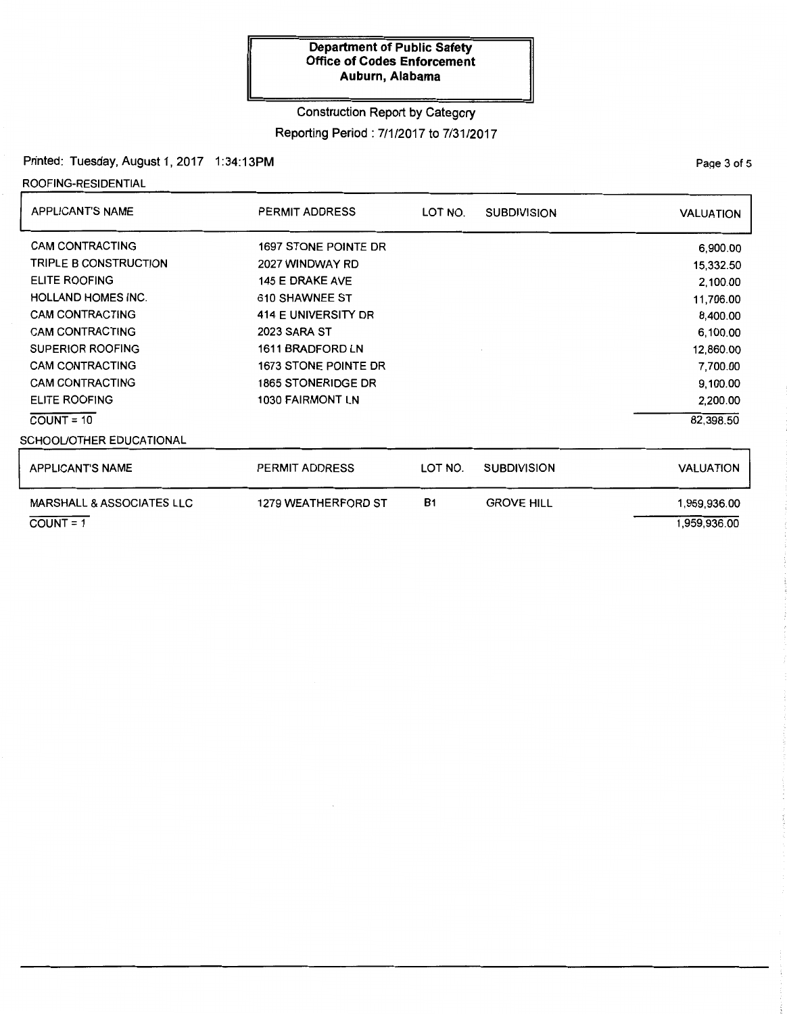## Construction Report by Category

Reporting Period: 7/1/2017 to 7/31/2017

### Printed: Tuesday, August 1, 2017 1:34:13PM

ROOFING-RESIDENTIAL

| <b>APPLICANT'S NAME</b>              | <b>PERMIT ADDRESS</b>      | LOT NO.   | <b>SUBDIVISION</b> | <b>VALUATION</b> |
|--------------------------------------|----------------------------|-----------|--------------------|------------------|
| <b>CAM CONTRACTING</b>               | 1697 STONE POINTE DR       |           |                    | 6,900.00         |
| TRIPLE B CONSTRUCTION                | 2027 WINDWAY RD            |           |                    | 15,332.50        |
| <b>ELITE ROOFING</b>                 | <b>145 E DRAKE AVE</b>     |           |                    | 2,100.00         |
| <b>HOLLAND HOMES INC.</b>            | 610 SHAWNEE ST             |           |                    | 11,706.00        |
| <b>CAM CONTRACTING</b>               | 414 E UNIVERSITY DR        |           |                    | 8,400.00         |
| <b>CAM CONTRACTING</b>               | 2023 SARA ST               |           |                    | 6,100.00         |
| <b>SUPERIOR ROOFING</b>              | 1611 BRADFORD LN           |           |                    | 12,860.00        |
| <b>CAM CONTRACTING</b>               | 1673 STONE POINTE DR       |           |                    | 7,700.00         |
| <b>CAM CONTRACTING</b>               | <b>1865 STONERIDGE DR</b>  |           |                    | 9,100.00         |
| <b>ELITE ROOFING</b>                 | 1030 FAIRMONT LN           |           |                    | 2,200.00         |
| $COUNT = 10$                         |                            |           |                    | 82,398.50        |
| SCHOOL/OTHER EDUCATIONAL             |                            |           |                    |                  |
| <b>APPLICANT'S NAME</b>              | <b>PERMIT ADDRESS</b>      | LOT NO.   | <b>SUBDIVISION</b> | <b>VALUATION</b> |
| <b>MARSHALL &amp; ASSOCIATES LLC</b> | <b>1279 WEATHERFORD ST</b> | <b>B1</b> | <b>GROVE HILL</b>  | 1,959,936.00     |

 $COVNT = 1$ 

PaQe 3 of 5

1,959,936.00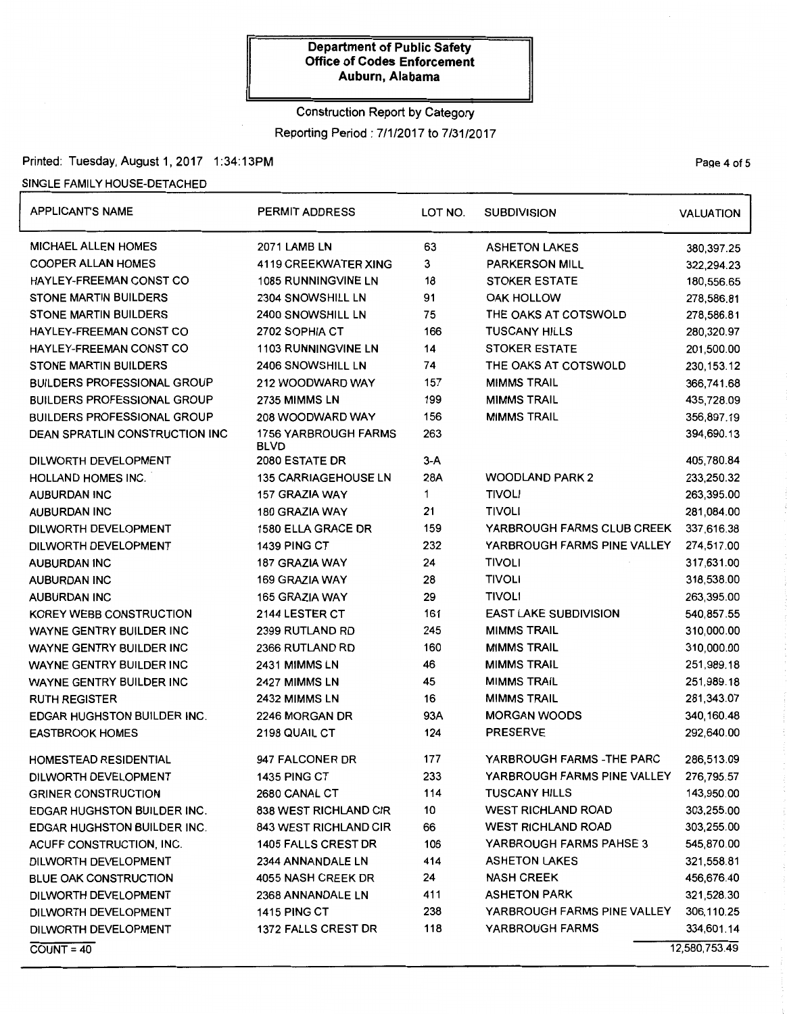# Construction Report by Category Reporting Period: 7/1/2017 to 7/31/2017

## Printed: Tuesday, August 1, 2017 1:34:13PM

## SINGLE FAMILY HOUSE-DETACHED

| <b>APPLICANT'S NAME</b>            | <b>PERMIT ADDRESS</b>               | LOT NO. | <b>SUBDIVISION</b>           | <b>VALUATION</b> |
|------------------------------------|-------------------------------------|---------|------------------------------|------------------|
| <b>MICHAEL ALLEN HOMES</b>         | <b>2071 LAMB LN</b>                 | 63      | <b>ASHETON LAKES</b>         | 380,397.25       |
| <b>COOPER ALLAN HOMES</b>          | <b>4119 CREEKWATER XING</b>         | 3       | <b>PARKERSON MILL</b>        | 322,294.23       |
| HAYLEY-FREEMAN CONST CO            | <b>1085 RUNNINGVINE LN</b>          | 18      | <b>STOKER ESTATE</b>         | 180,556.65       |
| <b>STONE MARTIN BUILDERS</b>       | 2304 SNOWSHILL LN                   | 91      | <b>OAK HOLLOW</b>            | 278,586.81       |
| <b>STONE MARTIN BUILDERS</b>       | 2400 SNOWSHILL LN                   | 75      | THE OAKS AT COTSWOLD         | 278,586.81       |
| HAYLEY-FREEMAN CONST CO            | 2702 SOPHIA CT                      | 166     | <b>TUSCANY HILLS</b>         | 280,320.97       |
| HAYLEY-FREEMAN CONST CO            | <b>1103 RUNNINGVINE LN</b>          | 14      | <b>STOKER ESTATE</b>         | 201,500.00       |
| <b>STONE MARTIN BUILDERS</b>       | 2406 SNOWSHILL LN                   | 74      | THE OAKS AT COTSWOLD         | 230, 153. 12     |
| <b>BUILDERS PROFESSIONAL GROUP</b> | 212 WOODWARD WAY                    | 157     | <b>MIMMS TRAIL</b>           | 366,741.68       |
| <b>BUILDERS PROFESSIONAL GROUP</b> | 2735 MIMMS LN                       | 199     | <b>MIMMS TRAIL</b>           | 435,728.09       |
| <b>BUILDERS PROFESSIONAL GROUP</b> | 208 WOODWARD WAY                    | 156     | <b>MIMMS TRAIL</b>           | 356,897.19       |
| DEAN SPRATLIN CONSTRUCTION INC     | 1756 YARBROUGH FARMS<br><b>BLVD</b> | 263     |                              | 394,690.13       |
| DILWORTH DEVELOPMENT               | 2080 ESTATE DR                      | $3-A$   |                              | 405,780.84       |
| <b>HOLLAND HOMES INC.</b>          | <b>135 CARRIAGEHOUSE LN</b>         | 28A     | <b>WOODLAND PARK 2</b>       | 233,250.32       |
| <b>AUBURDAN INC</b>                | 157 GRAZIA WAY                      | 1       | <b>TIVOLI</b>                | 263,395.00       |
| AUBURDAN INC                       | 180 GRAZIA WAY                      | 21      | <b>TIVOLI</b>                | 281,084.00       |
| DILWORTH DEVELOPMENT               | 1580 ELLA GRACE DR                  | 159     | YARBROUGH FARMS CLUB CREEK   | 337,616.38       |
| DILWORTH DEVELOPMENT               | 1439 PING CT                        | 232     | YARBROUGH FARMS PINE VALLEY  | 274,517.00       |
| <b>AUBURDAN INC</b>                | 187 GRAZIA WAY                      | 24      | <b>TIVOLI</b>                | 317,631.00       |
| AUBURDAN INC                       | 169 GRAZIA WAY                      | 28      | <b>TIVOLI</b>                | 318,538.00       |
| <b>AUBURDAN INC</b>                | 165 GRAZIA WAY                      | 29      | <b>TIVOLI</b>                | 263,395.00       |
| KOREY WEBB CONSTRUCTION            | 2144 LESTER CT                      | 161     | <b>EAST LAKE SUBDIVISION</b> | 540,857.55       |
| <b>WAYNE GENTRY BUILDER INC</b>    | 2399 RUTLAND RD                     | 245     | <b>MIMMS TRAIL</b>           | 310,000.00       |
| <b>WAYNE GENTRY BUILDER INC</b>    | 2366 RUTLAND RD                     | 160     | <b>MIMMS TRAIL</b>           | 310,000.00       |
| <b>WAYNE GENTRY BUILDER INC</b>    | 2431 MIMMS LN                       | 46      | <b>MIMMS TRAIL</b>           | 251,989.18       |
| <b>WAYNE GENTRY BUILDER INC</b>    | 2427 MIMMS LN                       | 45      | <b>MIMMS TRAIL</b>           | 251,989.18       |
| <b>RUTH REGISTER</b>               | 2432 MIMMS LN                       | 16      | <b>MIMMS TRAIL</b>           | 281,343.07       |
| <b>EDGAR HUGHSTON BUILDER INC.</b> | 2246 MORGAN DR                      | 93A     | <b>MORGAN WOODS</b>          | 340, 160.48      |
| <b>EASTBROOK HOMES</b>             | 2198 QUAIL CT                       | 124     | <b>PRESERVE</b>              | 292,640.00       |
| HOMESTEAD RESIDENTIAL              | 947 FALCONER DR                     | 177     | YARBROUGH FARMS - THE PARC   | 286,513.09       |
| DILWORTH DEVELOPMENT               | 1435 PING CT                        | 233     | YARBROUGH FARMS PINE VALLEY  | 276,795.57       |
| <b>GRINER CONSTRUCTION</b>         | 2680 CANAL CT                       | 114     | <b>TUSCANY HILLS</b>         | 143,950.00       |
| <b>EDGAR HUGHSTON BUILDER INC.</b> | 838 WEST RICHLAND CIR               | 10      | <b>WEST RICHLAND ROAD</b>    | 303,255.00       |
| <b>EDGAR HUGHSTON BUILDER INC.</b> | 843 WEST RICHLAND CIR               | 66      | <b>WEST RICHLAND ROAD</b>    | 303,255.00       |
| ACUFF CONSTRUCTION, INC.           | <b>1405 FALLS CREST DR</b>          | 106     | YARBROUGH FARMS PAHSE 3      | 545,870.00       |
| DILWORTH DEVELOPMENT               | 2344 ANNANDALE LN                   | 414     | <b>ASHETON LAKES</b>         | 321,558.81       |
| <b>BLUE OAK CONSTRUCTION</b>       | 4055 NASH CREEK DR                  | 24      | <b>NASH CREEK</b>            | 456,676.40       |
| DILWORTH DEVELOPMENT               | 2368 ANNANDALE LN                   | 411     | <b>ASHETON PARK</b>          | 321,528.30       |
| DILWORTH DEVELOPMENT               | <b>1415 PING CT</b>                 | 238     | YARBROUGH FARMS PINE VALLEY  | 306,110.25       |
| DILWORTH DEVELOPMENT               | 1372 FALLS CREST DR                 | 118     | YARBROUGH FARMS              | 334,601.14       |
| $COUNT = 40$                       |                                     |         |                              | 12,580,753.49    |

Page 4 of 5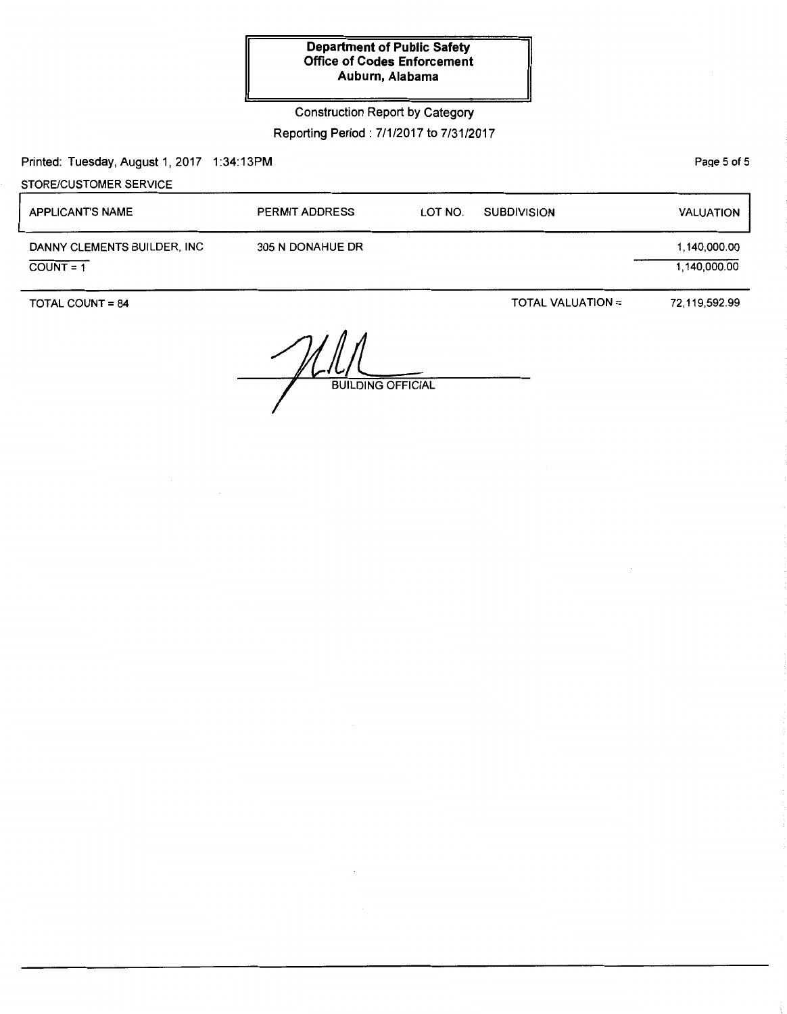Construction Report by Category

Reporting Period: 7/1/2017 to 7/31/2017

Printed: Tuesday, August 1, 2017 1:34:13PM

PaQe 5 of 5

| STORE/CUSTOMER SERVICE                     |                       |         |                          |                              |
|--------------------------------------------|-----------------------|---------|--------------------------|------------------------------|
| <b>APPLICANT'S NAME</b>                    | <b>PERMIT ADDRESS</b> | LOT NO. | <b>SUBDIVISION</b>       | <b>VALUATION</b>             |
| DANNY CLEMENTS BUILDER, INC<br>$COUNT = 1$ | 305 N DONAHUE DR      |         |                          | 1,140,000.00<br>1,140,000.00 |
| <b>TOTAL COUNT = 84</b>                    |                       |         | <b>TOTAL VALUATION =</b> | 72,119,592.99                |

 $\sim$  $\frac{10}{\text{BULDING OFFICIAL}}$